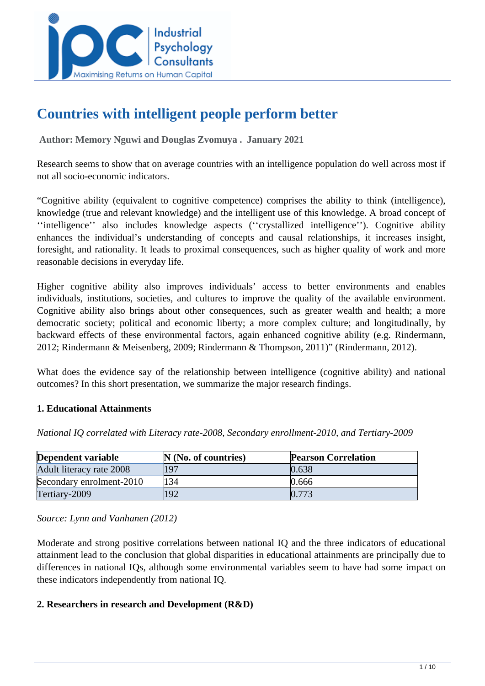

# **Countries with intelligent people perform better**

 **Author: Memory Nguwi and Douglas Zvomuya . January 2021** 

Research seems to show that on average countries with an intelligence population do well across most if not all socio-economic indicators.

"Cognitive ability (equivalent to cognitive competence) comprises the ability to think (intelligence), knowledge (true and relevant knowledge) and the intelligent use of this knowledge. A broad concept of ''intelligence'' also includes knowledge aspects (''crystallized intelligence''). Cognitive ability enhances the individual's understanding of concepts and causal relationships, it increases insight, foresight, and rationality. It leads to proximal consequences, such as higher quality of work and more reasonable decisions in everyday life.

Higher cognitive ability also improves individuals' access to better environments and enables individuals, institutions, societies, and cultures to improve the quality of the available environment. Cognitive ability also brings about other consequences, such as greater wealth and health; a more democratic society; political and economic liberty; a more complex culture; and longitudinally, by backward effects of these environmental factors, again enhanced cognitive ability (e.g. Rindermann, 2012; Rindermann & Meisenberg, 2009; Rindermann & Thompson, 2011)" (Rindermann, 2012).

What does the evidence say of the relationship between intelligence (cognitive ability) and national outcomes? In this short presentation, we summarize the major research findings.

# **1. Educational Attainments**

| National IQ correlated with Literacy rate-2008, Secondary enrollment-2010, and Tertiary-2009 |  |  |
|----------------------------------------------------------------------------------------------|--|--|
|                                                                                              |  |  |

| Dependent variable       | N (No. of countries) | <b>Pearson Correlation</b> |
|--------------------------|----------------------|----------------------------|
| Adult literacy rate 2008 | 197                  | 0.638                      |
| Secondary enrolment-2010 | 134                  | 0.666                      |
| Tertiary-2009            | 192                  | 0.773                      |

*Source: Lynn and Vanhanen (2012)*

Moderate and strong positive correlations between national IQ and the three indicators of educational attainment lead to the conclusion that global disparities in educational attainments are principally due to differences in national IQs, although some environmental variables seem to have had some impact on these indicators independently from national IQ.

# **2. Researchers in research and Development (R&D)**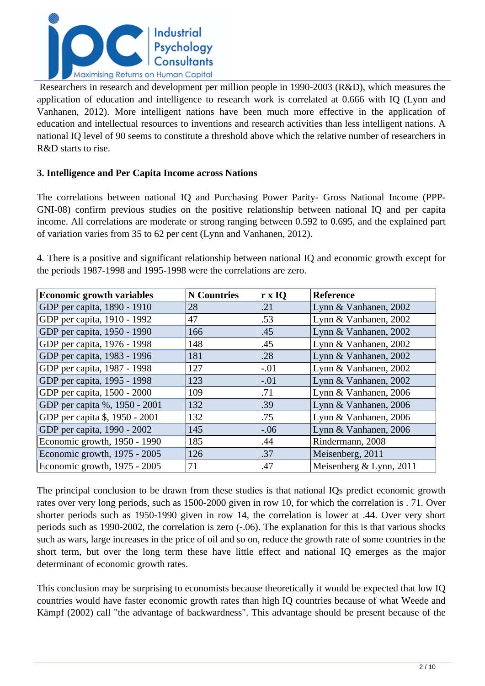

Researchers in research and development per million people in 1990-2003 (R&D), which measures the application of education and intelligence to research work is correlated at 0.666 with IQ (Lynn and Vanhanen, 2012). More intelligent nations have been much more effective in the application of education and intellectual resources to inventions and research activities than less intelligent nations. A national IQ level of 90 seems to constitute a threshold above which the relative number of researchers in R&D starts to rise.

# **3. Intelligence and Per Capita Income across Nations**

The correlations between national IQ and Purchasing Power Parity- Gross National Income (PPP-GNI-08) confirm previous studies on the positive relationship between national IQ and per capita income. All correlations are moderate or strong ranging between 0.592 to 0.695, and the explained part of variation varies from 35 to 62 per cent (Lynn and Vanhanen, 2012).

4. There is a positive and significant relationship between national IQ and economic growth except for the periods 1987-1998 and 1995-1998 were the correlations are zero.

| <b>Economic growth variables</b> | <b>N</b> Countries | r x IQ | <b>Reference</b>        |
|----------------------------------|--------------------|--------|-------------------------|
| GDP per capita, 1890 - 1910      | 28                 | .21    | Lynn & Vanhanen, 2002   |
| GDP per capita, 1910 - 1992      | 47                 | .53    | Lynn & Vanhanen, 2002   |
| GDP per capita, 1950 - 1990      | 166                | .45    | Lynn & Vanhanen, 2002   |
| GDP per capita, 1976 - 1998      | 148                | .45    | Lynn & Vanhanen, 2002   |
| GDP per capita, 1983 - 1996      | 181                | .28    | Lynn & Vanhanen, 2002   |
| GDP per capita, 1987 - 1998      | 127                | $-.01$ | Lynn & Vanhanen, 2002   |
| GDP per capita, 1995 - 1998      | 123                | $-.01$ | Lynn & Vanhanen, 2002   |
| GDP per capita, 1500 - 2000      | 109                | .71    | Lynn & Vanhanen, 2006   |
| GDP per capita %, 1950 - 2001    | 132                | .39    | Lynn & Vanhanen, 2006   |
| GDP per capita \$, 1950 - 2001   | 132                | .75    | Lynn & Vanhanen, 2006   |
| GDP per capita, 1990 - 2002      | 145                | $-.06$ | Lynn & Vanhanen, 2006   |
| Economic growth, 1950 - 1990     | 185                | .44    | Rindermann, 2008        |
| Economic growth, 1975 - 2005     | 126                | .37    | Meisenberg, 2011        |
| Economic growth, 1975 - 2005     | 71                 | .47    | Meisenberg & Lynn, 2011 |

The principal conclusion to be drawn from these studies is that national IQs predict economic growth rates over very long periods, such as 1500-2000 given in row 10, for which the correlation is . 71. Over shorter periods such as 1950-1990 given in row 14, the correlation is lower at .44. Over very short periods such as 1990-2002, the correlation is zero (-.06). The explanation for this is that various shocks such as wars, large increases in the price of oil and so on, reduce the growth rate of some countries in the short term, but over the long term these have little effect and national IQ emerges as the major determinant of economic growth rates.

This conclusion may be surprising to economists because theoretically it would be expected that low IQ countries would have faster economic growth rates than high IQ countries because of what Weede and Kämpf (2002) call "the advantage of backwardness". This advantage should be present because of the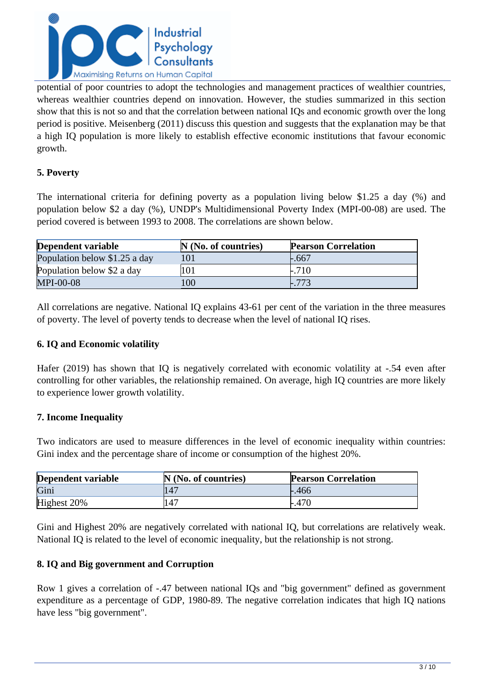

potential of poor countries to adopt the technologies and management practices of wealthier countries, whereas wealthier countries depend on innovation. However, the studies summarized in this section show that this is not so and that the correlation between national IQs and economic growth over the long period is positive. Meisenberg (2011) discuss this question and suggests that the explanation may be that a high IQ population is more likely to establish effective economic institutions that favour economic growth.

# **5. Poverty**

The international criteria for defining poverty as a population living below \$1.25 a day (%) and population below \$2 a day (%), UNDP's Multidimensional Poverty Index (MPI-00-08) are used. The period covered is between 1993 to 2008. The correlations are shown below.

| Dependent variable            | N (No. of countries) | <b>Pearson Correlation</b> |
|-------------------------------|----------------------|----------------------------|
| Population below \$1.25 a day | 101                  | -.667                      |
| Population below \$2 a day    | 101                  | $-710$                     |
| <b>MPI-00-08</b>              | 100                  | L.773                      |

All correlations are negative. National IQ explains 43-61 per cent of the variation in the three measures of poverty. The level of poverty tends to decrease when the level of national IQ rises.

# **6. IQ and Economic volatility**

Hafer (2019) has shown that IQ is negatively correlated with economic volatility at -.54 even after controlling for other variables, the relationship remained. On average, high IQ countries are more likely to experience lower growth volatility.

# **7. Income Inequality**

Two indicators are used to measure differences in the level of economic inequality within countries: Gini index and the percentage share of income or consumption of the highest 20%.

| Dependent variable | N (No. of countries) | <b>Pearson Correlation</b> |
|--------------------|----------------------|----------------------------|
| Gini               | 147                  | $-.466$                    |
| Highest 20%        | 147                  | L.470                      |

Gini and Highest 20% are negatively correlated with national IQ, but correlations are relatively weak. National IQ is related to the level of economic inequality, but the relationship is not strong.

#### **8. IQ and Big government and Corruption**

Row 1 gives a correlation of -.47 between national IQs and "big government" defined as government expenditure as a percentage of GDP, 1980-89. The negative correlation indicates that high IQ nations have less "big government".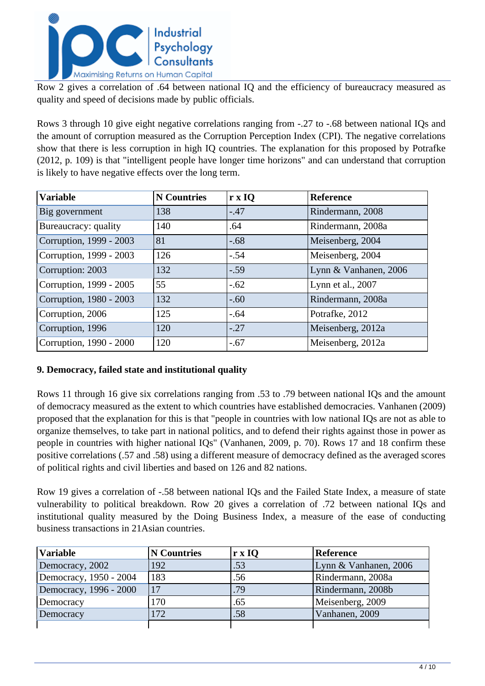

Row 2 gives a correlation of .64 between national IQ and the efficiency of bureaucracy measured as quality and speed of decisions made by public officials.

Rows 3 through 10 give eight negative correlations ranging from -.27 to -.68 between national IQs and the amount of corruption measured as the Corruption Perception Index (CPI). The negative correlations show that there is less corruption in high IQ countries. The explanation for this proposed by Potrafke (2012, p. 109) is that "intelligent people have longer time horizons" and can understand that corruption is likely to have negative effects over the long term.

| <b>Variable</b>         | <b>N</b> Countries | r x IQ | Reference             |
|-------------------------|--------------------|--------|-----------------------|
| Big government          | 138                | $-.47$ | Rindermann, 2008      |
| Bureaucracy: quality    | 140                | .64    | Rindermann, 2008a     |
| Corruption, 1999 - 2003 | 81                 | $-.68$ | Meisenberg, 2004      |
| Corruption, 1999 - 2003 | 126                | $-.54$ | Meisenberg, 2004      |
| Corruption: 2003        | 132                | $-.59$ | Lynn & Vanhanen, 2006 |
| Corruption, 1999 - 2005 | 55                 | $-.62$ | Lynn et al., 2007     |
| Corruption, 1980 - 2003 | 132                | $-.60$ | Rindermann, 2008a     |
| Corruption, 2006        | 125                | $-.64$ | Potrafke, 2012        |
| Corruption, 1996        | 120                | $-.27$ | Meisenberg, 2012a     |
| Corruption, 1990 - 2000 | 120                | $-.67$ | Meisenberg, 2012a     |

# **9. Democracy, failed state and institutional quality**

Rows 11 through 16 give six correlations ranging from .53 to .79 between national IQs and the amount of democracy measured as the extent to which countries have established democracies. Vanhanen (2009) proposed that the explanation for this is that "people in countries with low national IQs are not as able to organize themselves, to take part in national politics, and to defend their rights against those in power as people in countries with higher national IQs" (Vanhanen, 2009, p. 70). Rows 17 and 18 confirm these positive correlations (.57 and .58) using a different measure of democracy defined as the averaged scores of political rights and civil liberties and based on 126 and 82 nations.

Row 19 gives a correlation of -.58 between national IQs and the Failed State Index, a measure of state vulnerability to political breakdown. Row 20 gives a correlation of .72 between national IQs and institutional quality measured by the Doing Business Index, a measure of the ease of conducting business transactions in 21Asian countries.

| <b>Variable</b>        | <b>N</b> Countries | r x IQ | <b>Reference</b>      |
|------------------------|--------------------|--------|-----------------------|
| Democracy, 2002        | 192                | .53    | Lynn & Vanhanen, 2006 |
| Democracy, 1950 - 2004 | 183                | .56    | Rindermann, 2008a     |
| Democracy, 1996 - 2000 | 17                 | .79    | Rindermann, 2008b     |
| Democracy              | 170                | .65    | Meisenberg, 2009      |
| Democracy              | 172                | .58    | Vanhanen, 2009        |
|                        |                    |        |                       |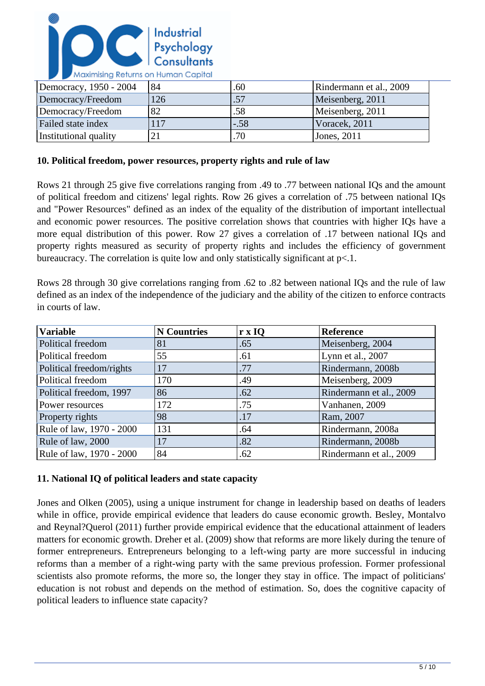

| Democracy, 1950 - 2004 | 84  | .60    | Rindermann et al., 2009 |
|------------------------|-----|--------|-------------------------|
| Democracy/Freedom      | 126 | .57    | Meisenberg, 2011        |
| Democracy/Freedom      | 82  | .58    | Meisenberg, 2011        |
| Failed state index     | 117 | $-.58$ | Voracek, 2011           |
| Institutional quality  |     | .70    | Jones, $2011$           |

### **10. Political freedom, power resources, property rights and rule of law**

Rows 21 through 25 give five correlations ranging from .49 to .77 between national IQs and the amount of political freedom and citizens' legal rights. Row 26 gives a correlation of .75 between national IQs and "Power Resources" defined as an index of the equality of the distribution of important intellectual and economic power resources. The positive correlation shows that countries with higher IQs have a more equal distribution of this power. Row 27 gives a correlation of .17 between national IQs and property rights measured as security of property rights and includes the efficiency of government bureaucracy. The correlation is quite low and only statistically significant at  $p<1$ .

Rows 28 through 30 give correlations ranging from .62 to .82 between national IQs and the rule of law defined as an index of the independence of the judiciary and the ability of the citizen to enforce contracts in courts of law.

| <b>Variable</b>          | <b>N</b> Countries | r x IQ | <b>Reference</b>        |
|--------------------------|--------------------|--------|-------------------------|
| Political freedom        | 81                 | .65    | Meisenberg, 2004        |
| Political freedom        | 55                 | .61    | Lynn et al., 2007       |
| Political freedom/rights | 17                 | .77    | Rindermann, 2008b       |
| Political freedom        | 170                | .49    | Meisenberg, 2009        |
| Political freedom, 1997  | 86                 | .62    | Rindermann et al., 2009 |
| Power resources          | 172                | .75    | Vanhanen, 2009          |
| Property rights          | 98                 | .17    | Ram, 2007               |
| Rule of law, 1970 - 2000 | 131                | .64    | Rindermann, 2008a       |
| Rule of law, 2000        | 17                 | .82    | Rindermann, 2008b       |
| Rule of law, 1970 - 2000 | 84                 | .62    | Rindermann et al., 2009 |

#### **11. National IQ of political leaders and state capacity**

Jones and Olken (2005), using a unique instrument for change in leadership based on deaths of leaders while in office, provide empirical evidence that leaders do cause economic growth. Besley, Montalvo and Reynal?Querol (2011) further provide empirical evidence that the educational attainment of leaders matters for economic growth. Dreher et al. (2009) show that reforms are more likely during the tenure of former entrepreneurs. Entrepreneurs belonging to a left-wing party are more successful in inducing reforms than a member of a right-wing party with the same previous profession. Former professional scientists also promote reforms, the more so, the longer they stay in office. The impact of politicians' education is not robust and depends on the method of estimation. So, does the cognitive capacity of political leaders to influence state capacity?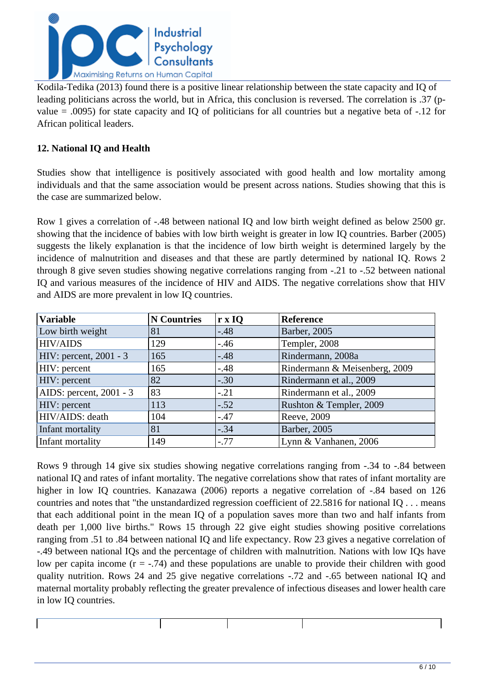

Kodila-Tedika (2013) found there is a positive linear relationship between the state capacity and IQ of leading politicians across the world, but in Africa, this conclusion is reversed. The correlation is .37 (pvalue = .0095) for state capacity and IQ of politicians for all countries but a negative beta of -.12 for African political leaders.

# **12. National IQ and Health**

Studies show that intelligence is positively associated with good health and low mortality among individuals and that the same association would be present across nations. Studies showing that this is the case are summarized below.

Row 1 gives a correlation of -.48 between national IQ and low birth weight defined as below 2500 gr. showing that the incidence of babies with low birth weight is greater in low IQ countries. Barber (2005) suggests the likely explanation is that the incidence of low birth weight is determined largely by the incidence of malnutrition and diseases and that these are partly determined by national IQ. Rows 2 through 8 give seven studies showing negative correlations ranging from -.21 to -.52 between national IQ and various measures of the incidence of HIV and AIDS. The negative correlations show that HIV and AIDS are more prevalent in low IQ countries.

| <b>Variable</b>         | <b>N</b> Countries | $r \times IQ$ | <b>Reference</b>              |
|-------------------------|--------------------|---------------|-------------------------------|
| Low birth weight        | 81                 | $-.48$        | Barber, 2005                  |
| <b>HIV/AIDS</b>         | 129                | $-.46$        | Templer, 2008                 |
| HIV: percent, 2001 - 3  | 165                | $-.48$        | Rindermann, 2008a             |
| HIV: percent            | 165                | $-.48$        | Rindermann & Meisenberg, 2009 |
| HIV: percent            | 82                 | $-.30$        | Rindermann et al., 2009       |
| AIDS: percent, 2001 - 3 | 83                 | $-.21$        | Rindermann et al., 2009       |
| HIV: percent            | 113                | $-.52$        | Rushton & Templer, 2009       |
| HIV/AIDS: death         | 104                | $-.47$        | Reeve, 2009                   |
| Infant mortality        | 81                 | $-.34$        | Barber, 2005                  |
| Infant mortality        | 149                | $-.77$        | Lynn & Vanhanen, 2006         |

Rows 9 through 14 give six studies showing negative correlations ranging from -.34 to -.84 between national IQ and rates of infant mortality. The negative correlations show that rates of infant mortality are higher in low IQ countries. Kanazawa (2006) reports a negative correlation of -.84 based on 126 countries and notes that "the unstandardized regression coefficient of 22.5816 for national IQ . . . means that each additional point in the mean IQ of a population saves more than two and half infants from death per 1,000 live births." Rows 15 through 22 give eight studies showing positive correlations ranging from .51 to .84 between national IQ and life expectancy. Row 23 gives a negative correlation of -.49 between national IQs and the percentage of children with malnutrition. Nations with low IQs have low per capita income  $(r = -.74)$  and these populations are unable to provide their children with good quality nutrition. Rows 24 and 25 give negative correlations -.72 and -.65 between national IQ and maternal mortality probably reflecting the greater prevalence of infectious diseases and lower health care in low IQ countries.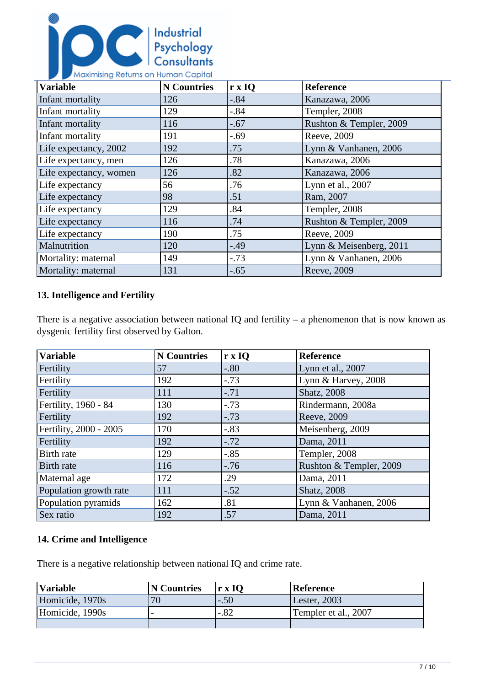

| <b>Variable</b>        | <b>N</b> Countries | r x IQ | <b>Reference</b>        |
|------------------------|--------------------|--------|-------------------------|
| Infant mortality       | 126                | $-.84$ | Kanazawa, 2006          |
| Infant mortality       | 129                | $-.84$ | Templer, 2008           |
| Infant mortality       | 116                | $-.67$ | Rushton & Templer, 2009 |
| Infant mortality       | 191                | $-.69$ | Reeve, 2009             |
| Life expectancy, 2002  | 192                | .75    | Lynn & Vanhanen, 2006   |
| Life expectancy, men   | 126                | .78    | Kanazawa, 2006          |
| Life expectancy, women | 126                | .82    | Kanazawa, 2006          |
| Life expectancy        | 56                 | .76    | Lynn et al., 2007       |
| Life expectancy        | 98                 | .51    | Ram, 2007               |
| Life expectancy        | 129                | .84    | Templer, 2008           |
| Life expectancy        | 116                | .74    | Rushton & Templer, 2009 |
| Life expectancy        | 190                | .75    | Reeve, 2009             |
| Malnutrition           | 120                | $-.49$ | Lynn & Meisenberg, 2011 |
| Mortality: maternal    | 149                | $-.73$ | Lynn & Vanhanen, 2006   |
| Mortality: maternal    | 131                | $-.65$ | Reeve, 2009             |

# **13. Intelligence and Fertility**

There is a negative association between national IQ and fertility – a phenomenon that is now known as dysgenic fertility first observed by Galton.

| <b>Variable</b>        | <b>N</b> Countries | r x IQ | <b>Reference</b>        |  |
|------------------------|--------------------|--------|-------------------------|--|
| Fertility              | 57                 | $-.80$ | Lynn et al., $2007$     |  |
| Fertility              | 192                | $-.73$ | Lynn & Harvey, 2008     |  |
| Fertility              | 111                | $-.71$ | Shatz, 2008             |  |
| Fertility, 1960 - 84   | 130                | $-.73$ | Rindermann, 2008a       |  |
| Fertility              | 192                | $-.73$ | Reeve, 2009             |  |
| Fertility, 2000 - 2005 | 170                | $-.83$ | Meisenberg, 2009        |  |
| Fertility              | 192                | $-.72$ | Dama, 2011              |  |
| Birth rate             | 129                | $-.85$ | Templer, 2008           |  |
| Birth rate             | 116                | $-.76$ | Rushton & Templer, 2009 |  |
| Maternal age           | 172                | .29    | Dama, 2011              |  |
| Population growth rate | 111                | $-.52$ | Shatz, 2008             |  |
| Population pyramids    | 162                | .81    | Lynn & Vanhanen, 2006   |  |
| Sex ratio              | 192                | .57    | Dama, 2011              |  |

# **14. Crime and Intelligence**

There is a negative relationship between national IQ and crime rate.

| <b>Variable</b> | N Countries | r x IO | <b>Reference</b>     |
|-----------------|-------------|--------|----------------------|
| Homicide, 1970s | 70          | $-.50$ | Lester, 2003         |
| Homicide, 1990s |             | $-.82$ | Templer et al., 2007 |
|                 |             |        |                      |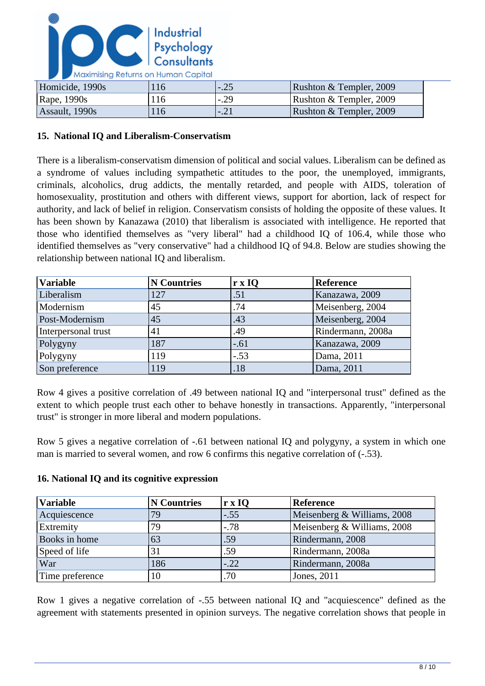

| Homicide, 1990s | 116 | $-0.25$ | <b>Rushton &amp; Templer, 2009</b> |
|-----------------|-----|---------|------------------------------------|
| Rape, 1990s     | 116 | $-.29$  | Rushton & Templer, 2009            |
| Assault, 1990s  | 116 | $L-21$  | <b>Rushton &amp; Templer, 2009</b> |

# **15. National IQ and Liberalism-Conservatism**

There is a liberalism-conservatism dimension of political and social values. Liberalism can be defined as a syndrome of values including sympathetic attitudes to the poor, the unemployed, immigrants, criminals, alcoholics, drug addicts, the mentally retarded, and people with AIDS, toleration of homosexuality, prostitution and others with different views, support for abortion, lack of respect for authority, and lack of belief in religion. Conservatism consists of holding the opposite of these values. It has been shown by Kanazawa (2010) that liberalism is associated with intelligence. He reported that those who identified themselves as "very liberal" had a childhood IQ of 106.4, while those who identified themselves as "very conservative" had a childhood IQ of 94.8. Below are studies showing the relationship between national IQ and liberalism.

| Variable            | <b>N</b> Countries | r x IQ | <b>Reference</b>  |
|---------------------|--------------------|--------|-------------------|
| Liberalism          | 127                | .51    | Kanazawa, 2009    |
| Modernism           | 45                 | .74    | Meisenberg, 2004  |
| Post-Modernism      | 45                 | .43    | Meisenberg, 2004  |
| Interpersonal trust | 41                 | .49    | Rindermann, 2008a |
| Polygyny            | 187                | $-.61$ | Kanazawa, 2009    |
| Polygyny            | 119                | $-.53$ | Dama, 2011        |
| Son preference      | 119                | .18    | Dama, 2011        |

Row 4 gives a positive correlation of .49 between national IQ and "interpersonal trust" defined as the extent to which people trust each other to behave honestly in transactions. Apparently, "interpersonal trust" is stronger in more liberal and modern populations.

Row 5 gives a negative correlation of -.61 between national IQ and polygyny, a system in which one man is married to several women, and row 6 confirms this negative correlation of (-.53).

# **16. National IQ and its cognitive expression**

| <b>Variable</b> | <b>N</b> Countries | r x IQ | Reference                   |
|-----------------|--------------------|--------|-----------------------------|
| Acquiescence    | 79                 | $-.55$ | Meisenberg & Williams, 2008 |
| Extremity       | 79                 | $-.78$ | Meisenberg & Williams, 2008 |
| Books in home   | 63                 | .59    | Rindermann, 2008            |
| Speed of life   | 31                 | .59    | Rindermann, 2008a           |
| War             | 186                | $-.22$ | Rindermann, 2008a           |
| Time preference | 10                 | .70    | Jones, 2011                 |

Row 1 gives a negative correlation of -.55 between national IQ and "acquiescence" defined as the agreement with statements presented in opinion surveys. The negative correlation shows that people in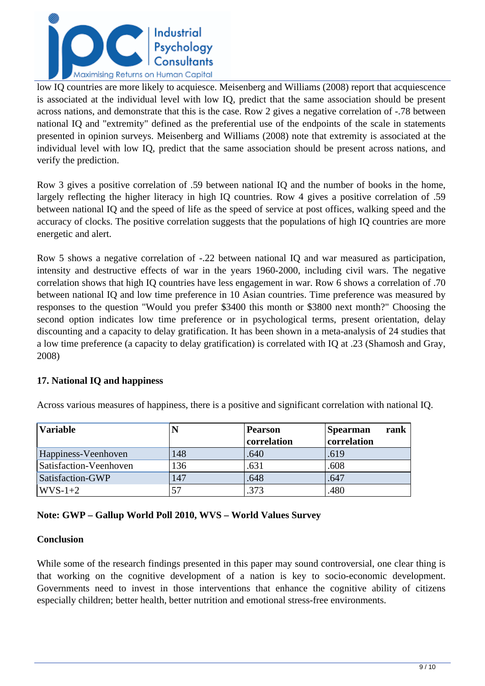

low IQ countries are more likely to acquiesce. Meisenberg and Williams (2008) report that acquiescence is associated at the individual level with low IQ, predict that the same association should be present across nations, and demonstrate that this is the case. Row 2 gives a negative correlation of -.78 between national IQ and "extremity" defined as the preferential use of the endpoints of the scale in statements presented in opinion surveys. Meisenberg and Williams (2008) note that extremity is associated at the individual level with low IQ, predict that the same association should be present across nations, and verify the prediction.

Row 3 gives a positive correlation of .59 between national IQ and the number of books in the home, largely reflecting the higher literacy in high IQ countries. Row 4 gives a positive correlation of .59 between national IQ and the speed of life as the speed of service at post offices, walking speed and the accuracy of clocks. The positive correlation suggests that the populations of high IQ countries are more energetic and alert.

Row 5 shows a negative correlation of -.22 between national IQ and war measured as participation, intensity and destructive effects of war in the years 1960-2000, including civil wars. The negative correlation shows that high IQ countries have less engagement in war. Row 6 shows a correlation of .70 between national IQ and low time preference in 10 Asian countries. Time preference was measured by responses to the question "Would you prefer \$3400 this month or \$3800 next month?" Choosing the second option indicates low time preference or in psychological terms, present orientation, delay discounting and a capacity to delay gratification. It has been shown in a meta-analysis of 24 studies that a low time preference (a capacity to delay gratification) is correlated with IQ at .23 (Shamosh and Gray, 2008)

# **17. National IQ and happiness**

Across various measures of happiness, there is a positive and significant correlation with national IQ.

| <b>Variable</b>        |     | <b>Pearson</b> | rank<br><b>Spearman</b> |
|------------------------|-----|----------------|-------------------------|
|                        |     | correlation    | correlation             |
| Happiness-Veenhoven    | 148 | .640           | .619                    |
| Satisfaction-Veenhoven | 136 | .631           | .608                    |
| Satisfaction-GWP       | 147 | .648           | .647                    |
| $WVS-1+2$              | 57  | .373           | 480                     |

# **Note: GWP – Gallup World Poll 2010, WVS – World Values Survey**

# **Conclusion**

While some of the research findings presented in this paper may sound controversial, one clear thing is that working on the cognitive development of a nation is key to socio-economic development. Governments need to invest in those interventions that enhance the cognitive ability of citizens especially children; better health, better nutrition and emotional stress-free environments.